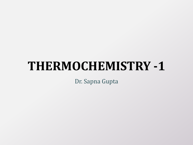# **THERMOCHEMISTRY -1**

Dr. Sapna Gupta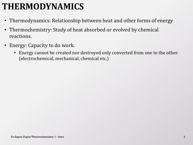## **THERMODYNAMICS**

- Thermodynamics: Relationship between heat and other forms of energy
- Thermochemistry: Study of heat absorbed or evolved by chemical reactions.
- Energy: Capacity to do work.
	- Energy cannot be created nor destroyed only converted from one to the other. (electrochemical, mechanical, chemical etc.)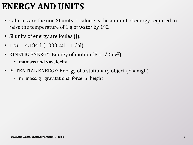## **ENERGY AND UNITS**

- Calories are the non SI units. 1 calorie is the amount of energy required to raise the temperature of 1 g of water by  $1^{\circ}$ C.
- SI units of energy are Joules (J).
- 1 cal = 4.184 J  $(1000 \text{ cal} = 1 \text{ Cal})$
- KINETIC ENERGY: Energy of motion (E =1/2mv<sup>2</sup>)
	- m=mass and v=velocity
- POTENTIAL ENERGY: Energy of a stationary object (E = mgh)
	- m=mass; g= gravitational force; h=height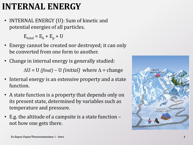## **INTERNAL ENERGY**

• INTERNAL ENERGY (U): Sum of kinetic and potential energies of all particles.

 $E_{total} = E_k + E_p + U$ 

- Energy cannot be created nor destroyed; it can only be converted from one form to another.
- Change in internal energy is generally studied:

 $\Delta U = U$  *(final)* – U *(initial)* where  $\Delta$  = change

- Internal energy is an extensive property and a state function.
- A state function is a property that depends only on its present state, determined by variables such as temperature and pressure.
- E.g. the altitude of a campsite is a state function not how one gets there.

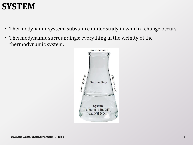## **SYSTEM**

- Thermodynamic system: substance under study in which a change occurs.
- Thermodynamic surroundings: everything in the vicinity of the thermodynamic system.

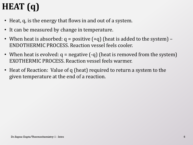# **HEAT (q)**

- Heat, q, is the energy that flows in and out of a system.
- It can be measured by change in temperature.
- When heat is absorbed:  $q =$  positive  $(+q)$  (heat is added to the system) ENDOTHERMIC PROCESS. Reaction vessel feels cooler.
- When heat is evolved:  $q =$  negative  $(-q)$  (heat is removed from the system) EXOTHERMIC PROCESS. Reaction vessel feels warmer.
- Heat of Reaction: Value of q (heat) required to return a system to the given temperature at the end of a reaction.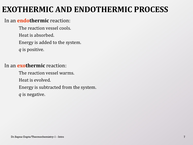### **EXOTHERMIC AND ENDOTHERMIC PROCESS**

### In an **endothermic** reaction:

The reaction vessel cools. Heat is absorbed. Energy is added to the system. *q* is positive.

### In an **exothermic** reaction:

The reaction vessel warms. Heat is evolved. Energy is subtracted from the system. *q* is negative.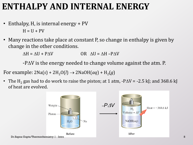## **ENTHALPY AND INTERNAL ENERGY**

- Enthalpy, H, is internal energy + PV  $H = U + PV$
- Many reactions take place at constant P, so change in enthalpy is given by change in the other conditions.

 $\Delta H = \Delta U + P \Delta V$  OR  $\Delta U = \Delta H - P \Delta V$ 

 $-P\Delta V$  is the energy needed to change volume against the atm. P.

For example:  $2Na(s) + 2H_2O(l) \rightarrow 2NaOH(aq) + H_2(g)$ 

• The H<sub>2</sub> gas had to do work to raise the piston; at 1 atm,  $-P\Delta V = -2.5$  kJ; and 368.6 kJ of heat are evolved.

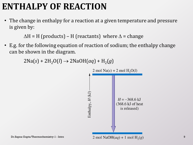## **ENTHALPY OF REACTION**

• The change in enthalpy for a reaction at a given temperature and pressure is given by:

 $\Delta H$  = H (products) – H (reactants) where  $\Delta$  = change

• E.g. for the following equation of reaction of sodium; the enthalpy change can be shown in the diagram.

 $2\text{Na}(s) + 2\text{H}_2\text{O}(l) \rightarrow 2\text{NaOH}(aq) + \text{H}_2(g)$ 

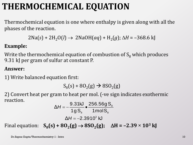## **THERMOCHEMICAL EQUATION**

Thermochemical equation is one where enthalpy is given along with all the phases of the reaction.

```
2Na(s) + 2H_2O(l) \rightarrow 2NaOH(aq) + H_2(g); \Delta H = -368.6 \text{ kJ}
```
### **Example:**

Write the thermochemical equation of combustion of  $S_8$  which produces 9.31 kJ per gram of sulfur at constant P.

### **Answer:**

1) Write balanced equation first:

 $S_8(s) + 8O_2(g) \to 8SO_2(g)$ 

2) Convert heat per gram to heat per mol. (-ve sign indicates exothermic reaction.

$$
\Delta H = -\frac{9.31 \text{kJ}}{1 \text{g S}_{\text{s}}} \cdot \frac{256.56 \text{g S}_{\text{s}}}{1 \text{mol S}_{\text{s}}}
$$

$$
\Delta H = -2.3910^3 \text{ kJ}
$$

Final equation:  $S_8(s) + 8O_2(g) \rightarrow 8SO_2(g)$ ;  $\Delta H = -2.39 \times 10^3$  kJ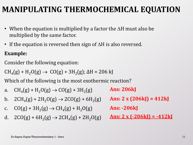### **MANIPULATING THERMOCHEMICAL EQUATION**

- When the equation is multiplied by a factor the  $\Delta H$  must also be multiplied by the same factor.
- If the equation is reversed then sign of  $\Delta H$  is also reversed.

### **Example:**

Consider the following equation:

 $CH_4(g) + H_2O(g) \to CO(g) + 3H_2(g)$ ;  $\Delta H = 206$  kJ

Which of the following is the most exothermic reaction?

- a.  $CH_4(g) + H_2O(g) \to CO(g) + 3H_2(g)$ **Ans: 206kJ**
- b.  $2CH_4(g) + 2H_2O(g) \rightarrow 2CO(g) + 6H_2(g)$
- c.  $CO(g) + 3H_2(g) \rightarrow CH_4(g) + H_2O(g)$
- d.  $2CO(g) + 6H_2(g) \rightarrow 2CH_4(g) + 2H_2O(g)$

**Ans: 2 x (206kJ) = 412kJ**

**Ans: -206kJ**

**Ans: 2 x (-206kJ) = -412kJ**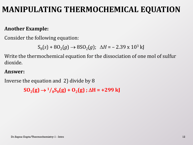### **MANIPULATING THERMOCHEMICAL EQUATION**

### **Another Example:**

Consider the following equation:

```
S_8(s) + 8O_2(g) \rightarrow 8SO_2(g); \Delta H = -2.39 \times 10^3 \text{ kJ}
```
Write the thermochemical equation for the dissociation of one mol of sulfur dioxide.

#### **Answer:**

Inverse the equation and 2) divide by 8

 $SO_2(g) \rightarrow \frac{1}{8}S_8(g) + O_2(g)$ ;  $\Delta H = +299$  kJ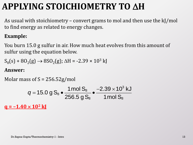## **APPLYING STOICHIOMETRY TO AH**

As usual with stoichiometry – convert grams to mol and then use the kJ/mol to find energy as related to energy changes.

### **Example:**

You burn 15.0 g sulfur in air. How much heat evolves from this amount of sulfur using the equation below.

 $S_8(s) + 8O_2(g) \rightarrow 8SO_2(g)$ ;  $\Delta H = -2.39 \times 10^3$  kJ

### **Answer:**

```
Molar mass of S = 256.52g/molg = -1.40 \times 10^2 k
                                                                                                                                                 3
                                                                                                   8
                                                                 \frac{1}{8} \bullet \frac{1}{256.5 \text{ g S}_8} \bullet \frac{1}{1} mol \text{S}_8S = 256.52g/mol<br>15.0 g S<sub>8</sub> \bullet \frac{1 \text{ mol S}_8}{256.5 \text{ g}} \bullet \frac{-2.39 \times 10^3 \text{ kJ}}{1 \text{ mol S}_8}\frac{1 \text{ mol S}_8}{256.5 \text{ g S}_8} \bullet \frac{-2.39 \times 10}{1 \text{ mol S}}a_0 s of S = 256.52g/mol<br>
q = 15.0 g S<sub>8</sub> \bullet \frac{1 \text{ mol S}_8}{27.0 \text{ J}} \bullet \frac{-2.39 \times 10^3 \text{ K}}{1.0 \text{ J}}= 15.0 g S_8 \cdot \frac{1 \text{ mol } S_8}{256.5 g S_8} \cdot \frac{-2.39}{1 \text{ m}}
```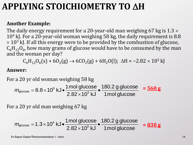## **APPLYING STOICHIOMETRY TO AH**

### **Another Example:**

The daily energy requirement for a 20-year-old man weighing 67 kg is  $1.3 \times$  $10<sup>4</sup>$  kJ. For a 20-year-old woman weighing 58 kg, the daily requirement is 8.8  $\times$  10<sup>3</sup> kJ. If all this energy were to be provided by the combustion of glucose,  $\text{C}_6\text{H}_{12}\text{O}_6$ , how many grams of glucose would have to be consumed by the man and the woman per day?

 $C_6H_{12}O_6(s) + 6O_2(g) \rightarrow 6CO_2(g) + 6H_2O(l)$ ;  $\Delta H = -2.82 \times 10^3$  kJ

#### **Answer:**

For a 20 yr old woman weighing 58 kg

 $^3$  k,  $\bullet$   $\frac{1 \text{ mol glucose}}{2}$   $\bullet$   $\frac{180.2 \text{ g glucose}}{2}$  =  $\frac{560 \text{ g}}{2}$ 20 yr old woman weighing 58 kg<br> $g_{\text{glucose}} = 8.8 \times 10^3 \text{ kJ} \cdot \frac{1 \text{mol glucose}}{2.82 \times 10^3 \text{ kJ}} \cdot \frac{180.2 \text{ g glucose}}{1 \text{mol glucose}}$ 2.82 10 kJ 1mol glucose a 20 yr old woman weighing 58 kg<br>  $m_{\text{glucose}} = 8.8 \times 10^3 \text{ kJ} \cdot \frac{1 \text{mol glucose}}{2.82 \times 10^3 \text{ kJ}} \cdot \frac{180.2 \text{ g}}{1 \text{mol} \text{ g}}$ 

For a 20 yr old man weighing 67 kg

a 20 yr old man weighing 67 kg  
\n
$$
m_{\text{glucose}} = 1.3 \times 10^4 \text{ kJ} \cdot \frac{1 \text{mol glucose}}{2.82 \times 10^3 \text{ kJ}} \cdot \frac{180.2 \text{ g glucose}}{1 \text{mol glucose}} = 830 \text{ g}
$$